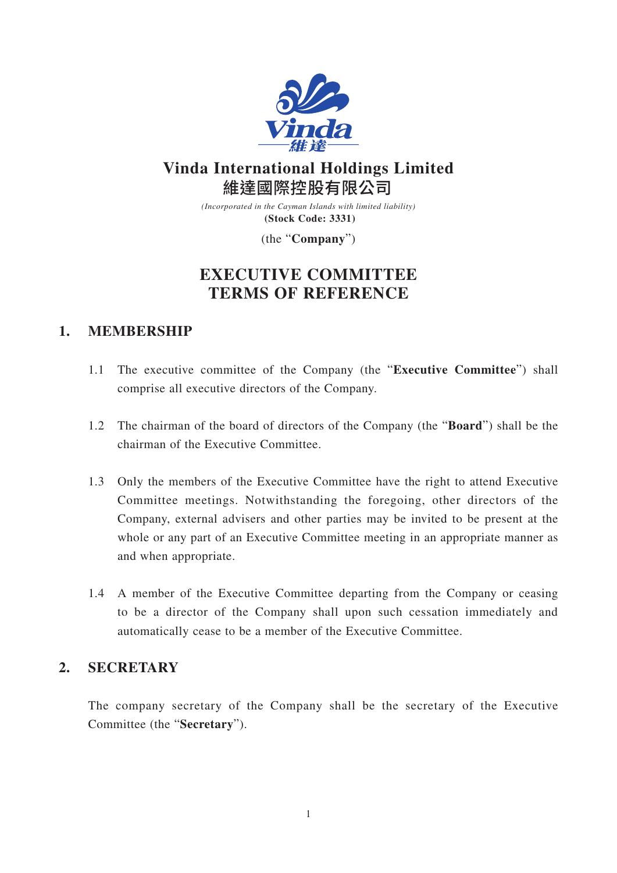

# **Vinda International Holdings Limited** 維達國際控股有限公司

*(Incorporated in the Cayman Islands with limited liability)* **(Stock Code: 3331)**

(the "**Company**")

# **EXECUTIVE COMMITTEE TERMS OF REFERENCE**

## **1. MEMBERSHIP**

- 1.1 The executive committee of the Company (the "**Executive Committee**") shall comprise all executive directors of the Company.
- 1.2 The chairman of the board of directors of the Company (the "**Board**") shall be the chairman of the Executive Committee.
- 1.3 Only the members of the Executive Committee have the right to attend Executive Committee meetings. Notwithstanding the foregoing, other directors of the Company, external advisers and other parties may be invited to be present at the whole or any part of an Executive Committee meeting in an appropriate manner as and when appropriate.
- 1.4 A member of the Executive Committee departing from the Company or ceasing to be a director of the Company shall upon such cessation immediately and automatically cease to be a member of the Executive Committee.

## **2. SECRETARY**

The company secretary of the Company shall be the secretary of the Executive Committee (the "**Secretary**").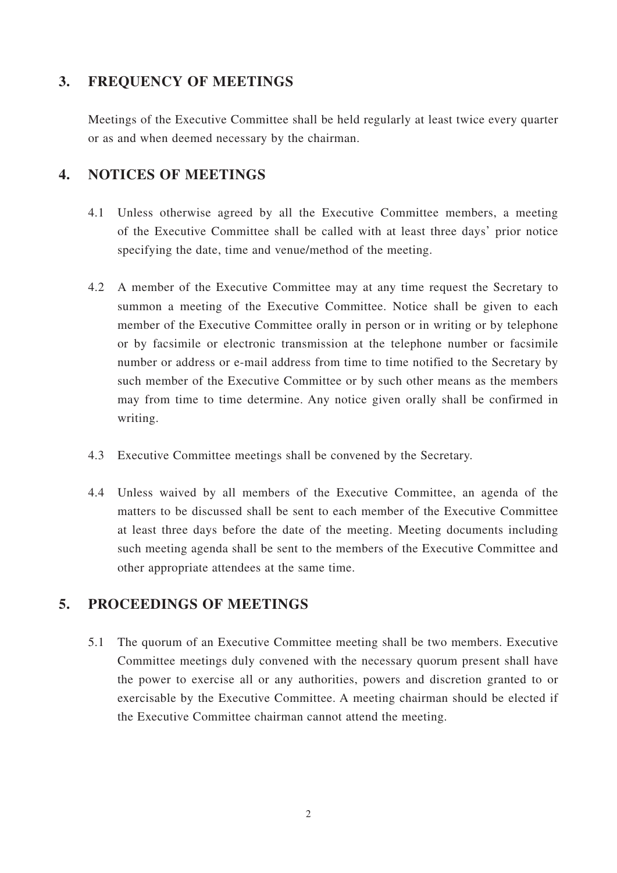#### **3. FREQUENCY OF MEETINGS**

Meetings of the Executive Committee shall be held regularly at least twice every quarter or as and when deemed necessary by the chairman.

## **4. NOTICES OF MEETINGS**

- 4.1 Unless otherwise agreed by all the Executive Committee members, a meeting of the Executive Committee shall be called with at least three days' prior notice specifying the date, time and venue/method of the meeting.
- 4.2 A member of the Executive Committee may at any time request the Secretary to summon a meeting of the Executive Committee. Notice shall be given to each member of the Executive Committee orally in person or in writing or by telephone or by facsimile or electronic transmission at the telephone number or facsimile number or address or e-mail address from time to time notified to the Secretary by such member of the Executive Committee or by such other means as the members may from time to time determine. Any notice given orally shall be confirmed in writing.
- 4.3 Executive Committee meetings shall be convened by the Secretary.
- 4.4 Unless waived by all members of the Executive Committee, an agenda of the matters to be discussed shall be sent to each member of the Executive Committee at least three days before the date of the meeting. Meeting documents including such meeting agenda shall be sent to the members of the Executive Committee and other appropriate attendees at the same time.

### **5. PROCEEDINGS OF MEETINGS**

5.1 The quorum of an Executive Committee meeting shall be two members. Executive Committee meetings duly convened with the necessary quorum present shall have the power to exercise all or any authorities, powers and discretion granted to or exercisable by the Executive Committee. A meeting chairman should be elected if the Executive Committee chairman cannot attend the meeting.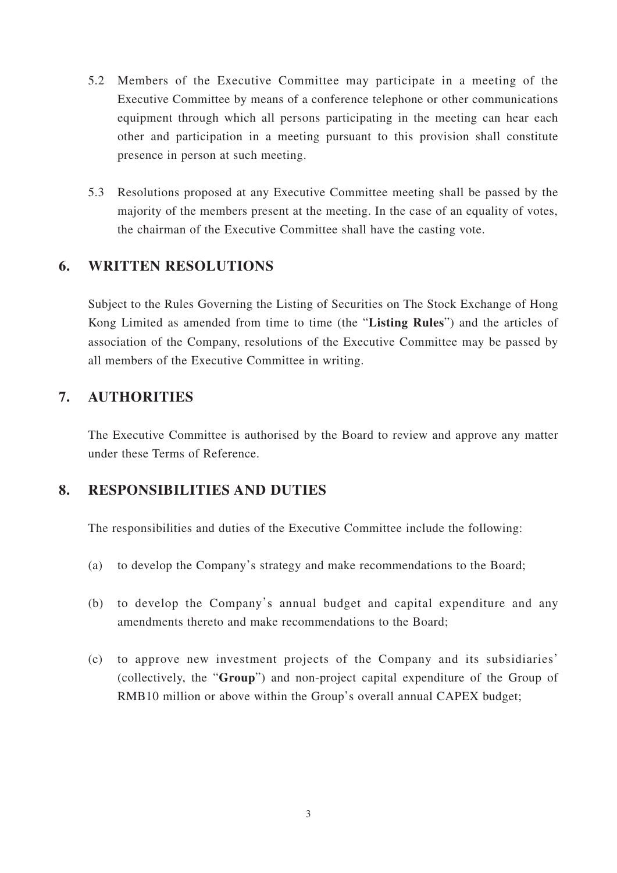- 5.2 Members of the Executive Committee may participate in a meeting of the Executive Committee by means of a conference telephone or other communications equipment through which all persons participating in the meeting can hear each other and participation in a meeting pursuant to this provision shall constitute presence in person at such meeting.
- 5.3 Resolutions proposed at any Executive Committee meeting shall be passed by the majority of the members present at the meeting. In the case of an equality of votes, the chairman of the Executive Committee shall have the casting vote.

### **6. WRITTEN RESOLUTIONS**

Subject to the Rules Governing the Listing of Securities on The Stock Exchange of Hong Kong Limited as amended from time to time (the "**Listing Rules**") and the articles of association of the Company, resolutions of the Executive Committee may be passed by all members of the Executive Committee in writing.

## **7. AUTHORITIES**

The Executive Committee is authorised by the Board to review and approve any matter under these Terms of Reference.

### **8. RESPONSIBILITIES AND DUTIES**

The responsibilities and duties of the Executive Committee include the following:

- (a) to develop the Company's strategy and make recommendations to the Board;
- (b) to develop the Company's annual budget and capital expenditure and any amendments thereto and make recommendations to the Board;
- (c) to approve new investment projects of the Company and its subsidiaries' (collectively, the "**Group**") and non-project capital expenditure of the Group of RMB10 million or above within the Group's overall annual CAPEX budget;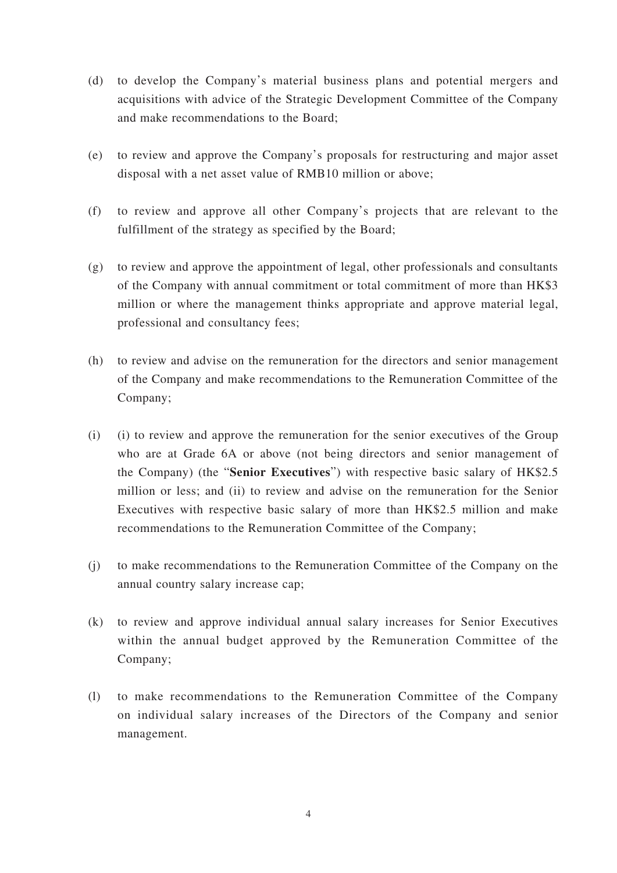- (d) to develop the Company's material business plans and potential mergers and acquisitions with advice of the Strategic Development Committee of the Company and make recommendations to the Board;
- (e) to review and approve the Company's proposals for restructuring and major asset disposal with a net asset value of RMB10 million or above;
- (f) to review and approve all other Company's projects that are relevant to the fulfillment of the strategy as specified by the Board;
- (g) to review and approve the appointment of legal, other professionals and consultants of the Company with annual commitment or total commitment of more than HK\$3 million or where the management thinks appropriate and approve material legal, professional and consultancy fees;
- (h) to review and advise on the remuneration for the directors and senior management of the Company and make recommendations to the Remuneration Committee of the Company;
- (i) (i) to review and approve the remuneration for the senior executives of the Group who are at Grade 6A or above (not being directors and senior management of the Company) (the "**Senior Executives**") with respective basic salary of HK\$2.5 million or less; and (ii) to review and advise on the remuneration for the Senior Executives with respective basic salary of more than HK\$2.5 million and make recommendations to the Remuneration Committee of the Company;
- (j) to make recommendations to the Remuneration Committee of the Company on the annual country salary increase cap;
- (k) to review and approve individual annual salary increases for Senior Executives within the annual budget approved by the Remuneration Committee of the Company;
- (l) to make recommendations to the Remuneration Committee of the Company on individual salary increases of the Directors of the Company and senior management.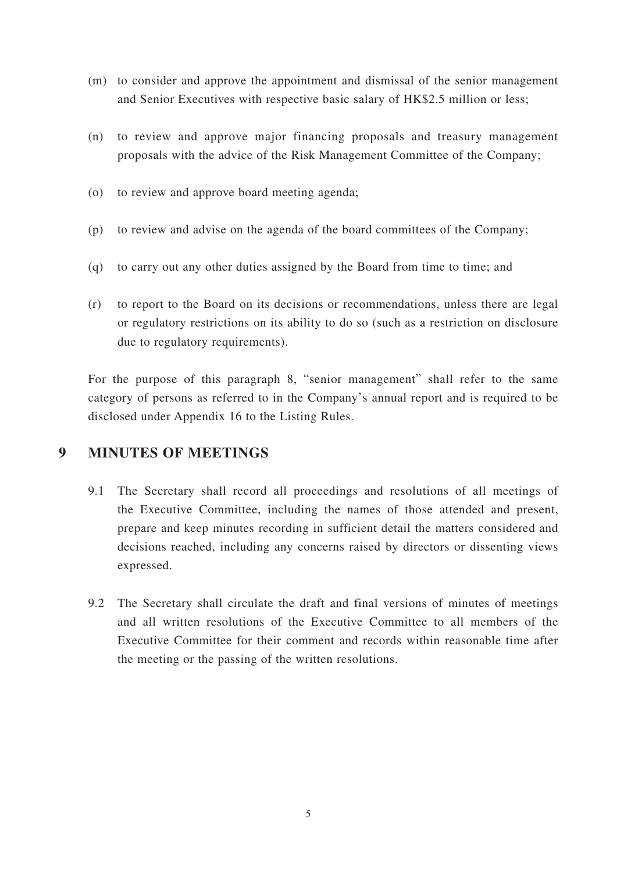- (m) to consider and approve the appointment and dismissal of the senior management and Senior Executives with respective basic salary of HK\$2.5 million or less;
- (n) to review and approve major financing proposals and treasury management proposals with the advice of the Risk Management Committee of the Company;
- (o) to review and approve board meeting agenda;
- (p) to review and advise on the agenda of the board committees of the Company;
- (q) to carry out any other duties assigned by the Board from time to time; and
- (r) to report to the Board on its decisions or recommendations, unless there are legal or regulatory restrictions on its ability to do so (such as a restriction on disclosure due to regulatory requirements).

For the purpose of this paragraph 8, "senior management" shall refer to the same category of persons as referred to in the Company's annual report and is required to be disclosed under Appendix 16 to the Listing Rules.

### **9 MINUTES OF MEETINGS**

- 9.1 The Secretary shall record all proceedings and resolutions of all meetings of the Executive Committee, including the names of those attended and present, prepare and keep minutes recording in sufficient detail the matters considered and decisions reached, including any concerns raised by directors or dissenting views expressed.
- 9.2 The Secretary shall circulate the draft and final versions of minutes of meetings and all written resolutions of the Executive Committee to all members of the Executive Committee for their comment and records within reasonable time after the meeting or the passing of the written resolutions.